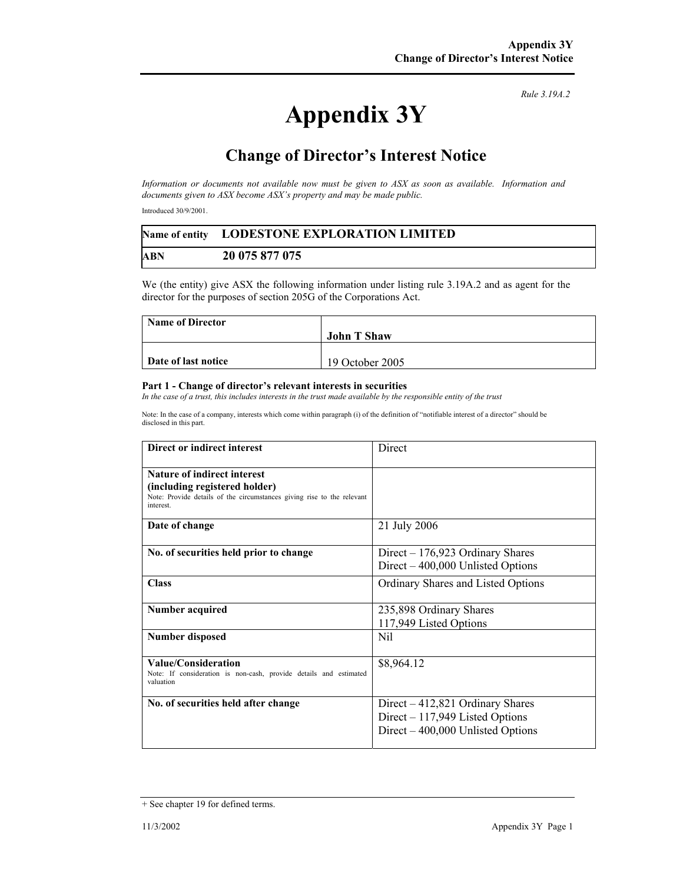*Rule 3.19A.2*

## **Appendix 3Y**

## **Change of Director's Interest Notice**

*Information or documents not available now must be given to ASX as soon as available. Information and documents given to ASX become ASX's property and may be made public.* 

Introduced 30/9/2001.

|     | Name of entity LODESTONE EXPLORATION LIMITED |  |
|-----|----------------------------------------------|--|
| ABN | 20 075 877 075                               |  |

We (the entity) give ASX the following information under listing rule 3.19A.2 and as agent for the director for the purposes of section 205G of the Corporations Act.

| <b>Name of Director</b> |                    |
|-------------------------|--------------------|
|                         | <b>John T Shaw</b> |
|                         |                    |
| Date of last notice     | 19 October 2005    |

## **Part 1 - Change of director's relevant interests in securities**

*In the case of a trust, this includes interests in the trust made available by the responsible entity of the trust* 

Note: In the case of a company, interests which come within paragraph (i) of the definition of "notifiable interest of a director" should be disclosed in this part.

| Direct or indirect interest                                                                                                                         | Direct                                                                                                    |
|-----------------------------------------------------------------------------------------------------------------------------------------------------|-----------------------------------------------------------------------------------------------------------|
| Nature of indirect interest<br>(including registered holder)<br>Note: Provide details of the circumstances giving rise to the relevant<br>interest. |                                                                                                           |
| Date of change                                                                                                                                      | 21 July 2006                                                                                              |
| No. of securities held prior to change                                                                                                              | $Direct - 176,923$ Ordinary Shares<br>Direct $-400,000$ Unlisted Options                                  |
| <b>Class</b>                                                                                                                                        | Ordinary Shares and Listed Options                                                                        |
| <b>Number acquired</b>                                                                                                                              | 235,898 Ordinary Shares<br>117,949 Listed Options                                                         |
| <b>Number disposed</b>                                                                                                                              | Nil                                                                                                       |
| Value/Consideration<br>Note: If consideration is non-cash, provide details and estimated<br>valuation                                               | \$8,964.12                                                                                                |
| No. of securities held after change                                                                                                                 | Direct – 412,821 Ordinary Shares<br>Direct $-117,949$ Listed Options<br>Direct – 400,000 Unlisted Options |

<sup>+</sup> See chapter 19 for defined terms.